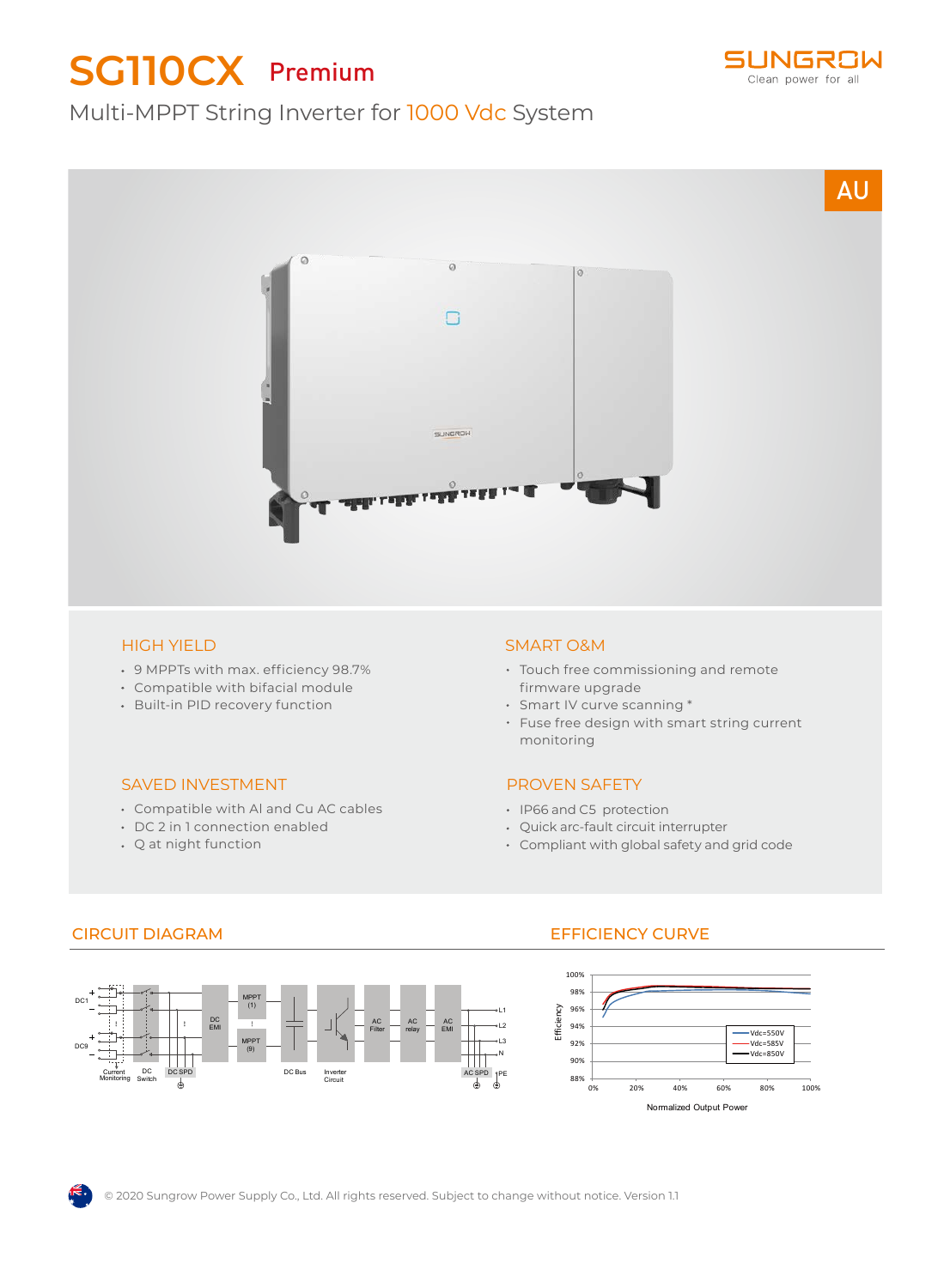# **SG110CX** Premium



## Multi-MPPT String Inverter for 1000 Vdc System



#### HIGH YIELD

- 9 MPPTs with max. efficiency 98.7%
- Compatible with bifacial module
- Built-in PID recovery function

#### SAVED INVESTMENT

- Compatible with Al and Cu AC cables
- DC 2 in 1 connection enabled
- Q at night function

#### SMART O&M

- Touch free commissioning and remote firmware upgrade
- Smart IV curve scanning \*
- Fuse free design with smart string current monitoring

#### PROVEN SAFETY

- IP66 and C5 protection
- Quick arc-fault circuit interrupter
- Compliant with global safety and grid code



### CIRCUIT DIAGRAM EFFICIENCY CURVE